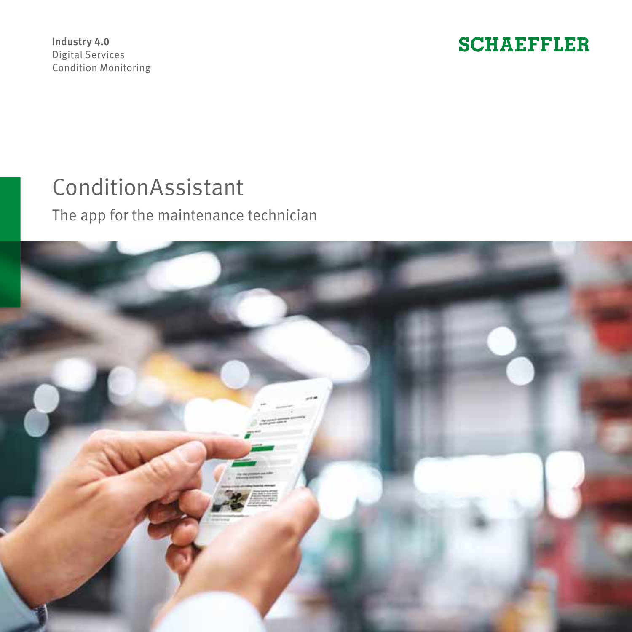**Industry 4.0** Digital Services Condition Monitoring **SCHAEFFLER** 

# ConditionAssistant

The app for the maintenance technician

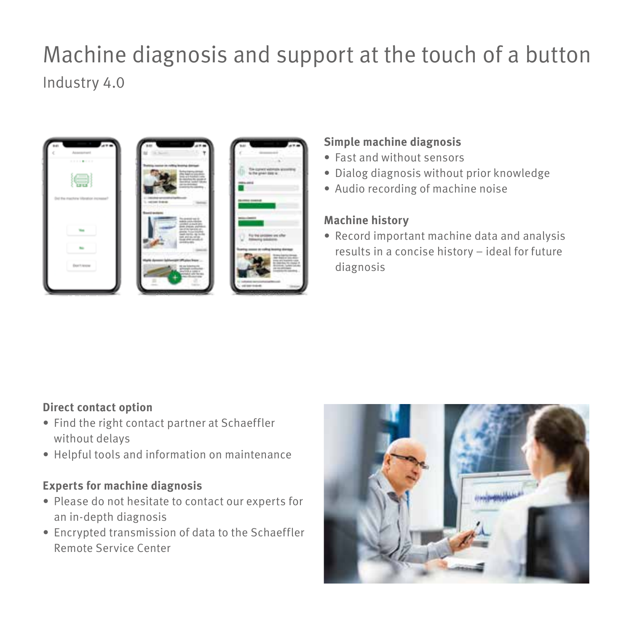## Machine diagnosis and support at the touch of a button Industry 4.0



#### **Simple machine diagnosis**

- Fast and without sensors
- Dialog diagnosis without prior knowledge
- Audio recording of machine noise

#### **Machine history**

• Record important machine data and analysis results in a concise history – ideal for future diagnosis

## **Direct contact option**

- Find the right contact partner at Schaeffler without delays
- Helpful tools and information on maintenance

#### **Experts for machine diagnosis**

- Please do not hesitate to contact our experts for an in-depth diagnosis
- Encrypted transmission of data to the Schaeffler Remote Service Center

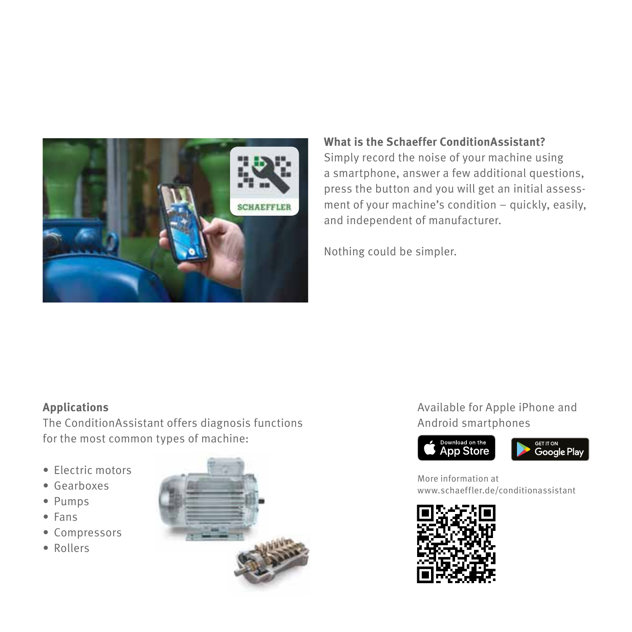

#### **What is the Schaeffer ConditionAssistant?**

Simply record the noise of your machine using a smartphone, answer a few additional questions, press the button and you will get an initial assessment of your machine's condition – quickly, easily, and independent of manufacturer.

Nothing could be simpler.

#### **Applications**

The ConditionAssistant offers diagnosis functions for the most common types of machine:

- Electric motors
- Gearboxes
- Pumps
- Fans
- Compressors
- Rollers



## Available for Apple iPhone and Android smartphones





More information at www.schaeffler.de/conditionassistant